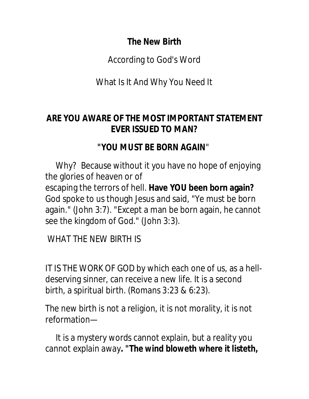### **The New Birth**

According to God's Word

What Is It And Why You Need It

### **ARE YOU AWARE OF THE MOST IMPORTANT STATEMENT EVER ISSUED TO MAN?**

# *"YOU MUST BE BORN AGAIN*"

 Why? Because without it you have no hope of enjoying the glories of heaven or of escaping the terrors of hell. **Have YOU been born again?** God spoke to us though Jesus and said, "Ye must be born again." (John 3:7). "Except a man be born again, he cannot see the kingdom of God." (John 3:3).

WHAT THE NEW BIRTH IS

IT IS THE WORK OF GOD by which each one of us, as a helldeserving sinner, can receive a new life. It is a second birth, a spiritual birth. (Romans 3:23 & 6:23).

The new birth is not a religion, it is not morality, it is not reformation—

 It is a mystery words cannot explain, but a reality you cannot explain away**.** *"The wind bloweth where it listeth,*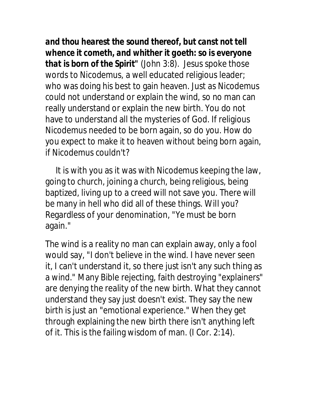*and thou hearest the sound thereof, but canst not tell whence it cometh, and whither it goeth: so is everyone that is born of the Spirit"* (John 3:8). Jesus spoke those words to Nicodemus, a well educated religious leader; who was doing his best to gain heaven. Just as Nicodemus could not understand or explain the wind, so no man can really understand or explain the new birth. You do not have to understand all the mysteries of God. If religious Nicodemus needed to be born again, so do you. How do you expect to make it to heaven without being born again, if Nicodemus couldn't?

 It is with you as it was with Nicodemus keeping the law, going to church, joining a church, being religious, being baptized, living up to a creed will not save you. There will be many in hell who did all of these things. Will you? Regardless of your denomination, "Ye must be born again."

The wind is a reality no man can explain away, only a fool would say, "I don't believe in the wind. I have never seen it, I can't understand it, so there just isn't any such thing as a wind." Many Bible rejecting, faith destroying "explainers" are denying the reality of the new birth. What they cannot understand they say just doesn't exist. They say the new birth is just an "emotional experience." When they get through explaining the new birth there isn't anything left of it. This is the failing wisdom of man. (I Cor. 2:14).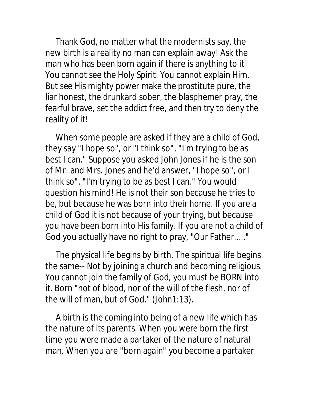Thank God, no matter what the modernists say, the new birth is a reality no man can explain away! Ask the man who has been born again if there is anything to it! You cannot see the Holy Spirit. You cannot explain Him. But see His mighty power make the prostitute pure, the liar honest, the drunkard sober, the blasphemer pray, the fearful brave, set the addict free, and then try to deny the reality of it!

 When some people are asked if they are a child of God, they say "I hope so", or "I think so", "I'm trying to be as best I can." Suppose you asked John Jones if he is the son of Mr. and Mrs. Jones and he'd answer, "I hope so", or I think so", "I'm trying to be as best I can." You would question his mind! He is not their son because he tries to be, but because he was born into their home. If you are a child of God it is not because of your trying, but because you have been born into His family. If you are not a child of God you actually have no right to pray, "Our Father....."

 The physical life begins by birth. The spiritual life begins the same-- Not by joining a church and becoming religious. You cannot join the family of God, you must be BORN into it. Born "not of blood, nor of the will of the flesh, nor of the will of man, but of God." (John1:13).

 A birth is the coming into being of a new life which has the nature of its parents. When you were born the first time you were made a partaker of the nature of natural man. When you are "born again" you become a partaker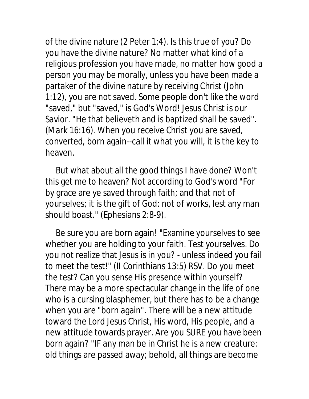of the divine nature (2 Peter 1;4). Is this true of you? Do you have the divine nature? No matter what kind of a religious profession you have made, no matter how good a person you may be morally, unless you have been made a partaker of the divine nature by receiving Christ (John 1:12), you are not saved. Some people don't like the word "saved," but "saved," is God's Word! Jesus Christ is our Savior. "He that believeth and is baptized shall be saved". (Mark 16:16). When you receive Christ you are saved, converted, born again--call it what you will, it is the key to heaven.

 But what about all the good things I have done? Won't this get me to heaven? Not according to God's word "For by grace are ye saved through faith; and that not of yourselves; it is the gift of God: not of works, lest any man should boast." (Ephesians 2:8-9).

 Be sure you are born again! "Examine yourselves to see whether you are holding to your faith. Test yourselves. Do you not realize that Jesus is in you? - unless indeed you fail to meet the test!" (II Corinthians 13:5) RSV. Do you meet the test? Can you sense His presence within yourself? There may be a more spectacular change in the life of one who is a cursing blasphemer, but there has to be a change when you are "born again". There will be a new attitude toward the Lord Jesus Christ, His word, His people, and a new attitude towards prayer. Are you SURE you have been born again? "IF any man be in Christ he is a new creature: old things are passed away; behold, all things are become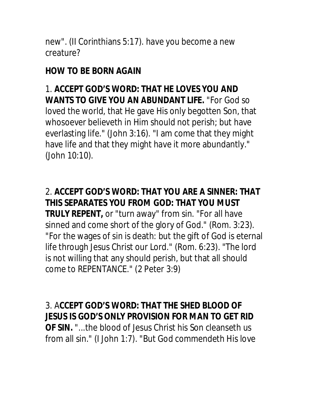new". (II Corinthians 5:17). have you become a new creature?

# **HOW TO BE BORN AGAIN**

1. **ACCEPT GOD'S WORD: THAT HE LOVES YOU AND WANTS TO GIVE YOU AN ABUNDANT LIFE.** "For God so loved the world, that He gave His only begotten Son, that whosoever believeth in Him should not perish; but have everlasting life." (John 3:16). "I am come that they might have life and that they might have it more abundantly." (John 10:10).

2. **ACCEPT GOD'S WORD: THAT YOU ARE A SINNER: THAT THIS SEPARATES YOU FROM GOD: THAT YOU MUST TRULY REPENT,** or "turn away" from sin. "For all have sinned and come short of the glory of God." (Rom. 3:23). "For the wages of sin is death: but the gift of God is eternal life through Jesus Christ our Lord." (Rom. 6:23). "The lord is not willing that any should perish, but that all should come to REPENTANCE." (2 Peter 3:9)

### 3. A**CCEPT GOD'S WORD: THAT THE SHED BLOOD OF JESUS IS GOD'S ONLY PROVISION FOR MAN TO GET RID**

**OF SIN.** "...the blood of Jesus Christ his Son cleanseth us from all sin." (I John 1:7). "But God commendeth His love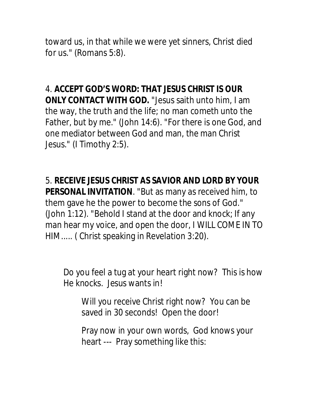toward us, in that while we were yet sinners, Christ died for us." (Romans 5:8).

4. **ACCEPT GOD'S WORD: THAT JESUS CHRIST IS OUR ONLY CONTACT WITH GOD.** "Jesus saith unto him, I am the way, the truth and the life; no man cometh unto the Father, but by me." (John 14:6). "For there is one God, and one mediator between God and man, the man Christ Jesus." (I Timothy 2:5).

5. **RECEIVE JESUS CHRIST AS SAVIOR AND LORD BY YOUR PERSONAL INVITATION**. "But as many as received him, to them gave he the power to become the sons of God." (John 1:12). "Behold I stand at the door and knock; If any man hear my voice, and open the door, I WILL COME IN TO HIM..... ( Christ speaking in Revelation 3:20).

Do you feel a tug at your heart right now? This is how He knocks. Jesus wants in!

Will you receive Christ right now? You can be saved in 30 seconds! Open the door!

Pray now in your own words, God knows your heart --- Pray something like this: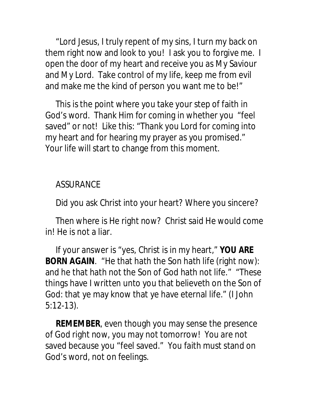"Lord Jesus, I truly repent of my sins, I turn my back on them right now and look to you! I ask you to forgive me. I open the door of my heart and receive you as My Saviour and My Lord. Take control of my life, keep me from evil and make me the kind of person you want me to be!"

 This is the point where you take your step of faith in God's word. Thank Him for coming in whether you "feel saved" or not! Like this: "Thank you Lord for coming into my heart and for hearing my prayer as you promised." Your life will start to change from this moment.

### ASSURANCE

Did you ask Christ into your heart? Where you sincere?

 Then where is He right now? Christ said He would come in! He is not a liar.

 If your answer is "yes, Christ is in my heart," **YOU ARE BORN AGAIN**. "He that hath the Son hath life (right now): and he that hath not the Son of God hath not life." "These things have I written unto you that believeth on the Son of God: that ye may know that ye have eternal life." (I John 5:12-13).

 **REMEMBER**, even though you may sense the presence of God right now, you may not tomorrow! You are not saved because you "feel saved." You faith must stand on God's word, not on feelings.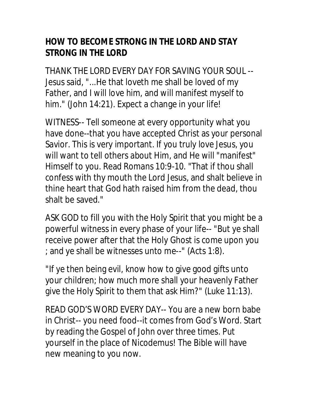# **HOW TO BECOME STRONG IN THE LORD AND STAY STRONG IN THE LORD**

THANK THE LORD EVERY DAY FOR SAVING YOUR SOUL -- Jesus said, "...He that loveth me shall be loved of my Father, and I will love him, and will manifest myself to him." (John 14:21). Expect a change in your life!

WITNESS-- Tell someone at every opportunity what you have done--that you have accepted Christ as your personal Savior. This is very important. If you truly love Jesus, you will want to tell others about Him, and He will "manifest" Himself to you. Read Romans 10:9-10. "That if thou shall confess with thy mouth the Lord Jesus, and shalt believe in thine heart that God hath raised him from the dead, thou shalt be saved."

ASK GOD to fill you with the Holy Spirit that you might be a powerful witness in every phase of your life-- "But ye shall receive power after that the Holy Ghost is come upon you ; and ye shall be witnesses unto me--" (Acts 1:8).

"If ye then being evil, know how to give good gifts unto your children; how much more shall your heavenly Father give the Holy Spirit to them that ask Him?" (Luke 11:13).

READ GOD'S WORD EVERY DAY-- You are a new born babe in Christ-- you need food--it comes from God's Word. Start by reading the Gospel of John over three times. Put yourself in the place of Nicodemus! The Bible will have new meaning to you now.